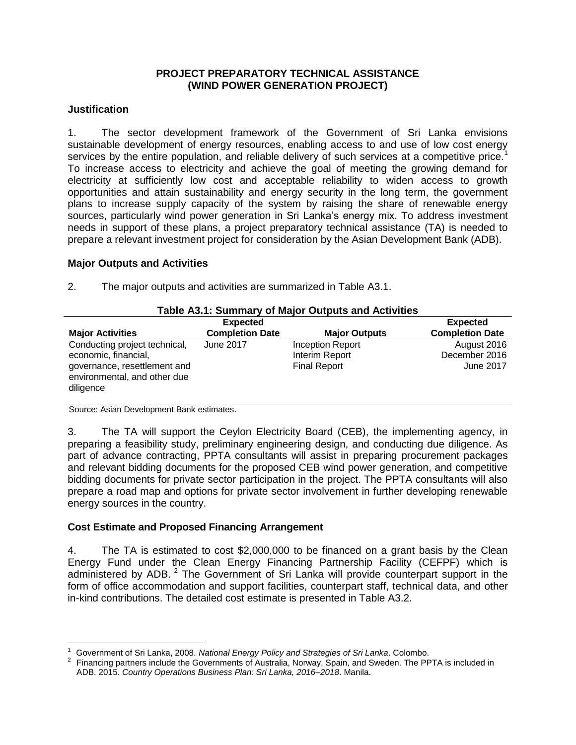## **PROJECT PREPARATORY TECHNICAL ASSISTANCE (WIND POWER GENERATION PROJECT)**

## **Justification**

1. The sector development framework of the Government of Sri Lanka envisions sustainable development of energy resources, enabling access to and use of low cost energy services by the entire population, and reliable delivery of such services at a competitive price.<sup>1</sup> To increase access to electricity and achieve the goal of meeting the growing demand for electricity at sufficiently low cost and acceptable reliability to widen access to growth opportunities and attain sustainability and energy security in the long term, the government plans to increase supply capacity of the system by raising the share of renewable energy sources, particularly wind power generation in Sri Lanka's energy mix. To address investment needs in support of these plans, a project preparatory technical assistance (TA) is needed to prepare a relevant investment project for consideration by the Asian Development Bank (ADB).

#### **Major Outputs and Activities**

| Table A3.1: Summary of Major Outputs and Activities |                        |                      |                        |
|-----------------------------------------------------|------------------------|----------------------|------------------------|
|                                                     | <b>Expected</b>        |                      | <b>Expected</b>        |
| <b>Major Activities</b>                             | <b>Completion Date</b> | <b>Major Outputs</b> | <b>Completion Date</b> |
| Conducting project technical,                       | June 2017              | Inception Report     | August 2016            |
| economic, financial,                                |                        | Interim Report       | December 2016          |
| governance, resettlement and                        |                        | <b>Final Report</b>  | June 2017              |
| environmental, and other due                        |                        |                      |                        |
| diligence                                           |                        |                      |                        |

2. The major outputs and activities are summarized in Table A3.1.

# **Table A3.1: Summary of Major Outputs and Activities**

Source: Asian Development Bank estimates.

l

3. The TA will support the Ceylon Electricity Board (CEB), the implementing agency, in preparing a feasibility study, preliminary engineering design, and conducting due diligence. As part of advance contracting, PPTA consultants will assist in preparing procurement packages and relevant bidding documents for the proposed CEB wind power generation, and competitive bidding documents for private sector participation in the project. The PPTA consultants will also prepare a road map and options for private sector involvement in further developing renewable energy sources in the country.

## **Cost Estimate and Proposed Financing Arrangement**

4. The TA is estimated to cost \$2,000,000 to be financed on a grant basis by the Clean Energy Fund under the Clean Energy Financing Partnership Facility (CEFPF) which is administered by ADB. <sup>2</sup> The Government of Sri Lanka will provide counterpart support in the form of office accommodation and support facilities, counterpart staff, technical data, and other in-kind contributions. The detailed cost estimate is presented in Table A3.2.

<sup>1</sup> Government of Sri Lanka, 2008. *National Energy Policy and Strategies of Sri Lanka*. Colombo.

 $2$  Financing partners include the Governments of Australia, Norway, Spain, and Sweden. The PPTA is included in ADB. 2015. *Country Operations Business Plan: Sri Lanka, 2016–2018*. Manila.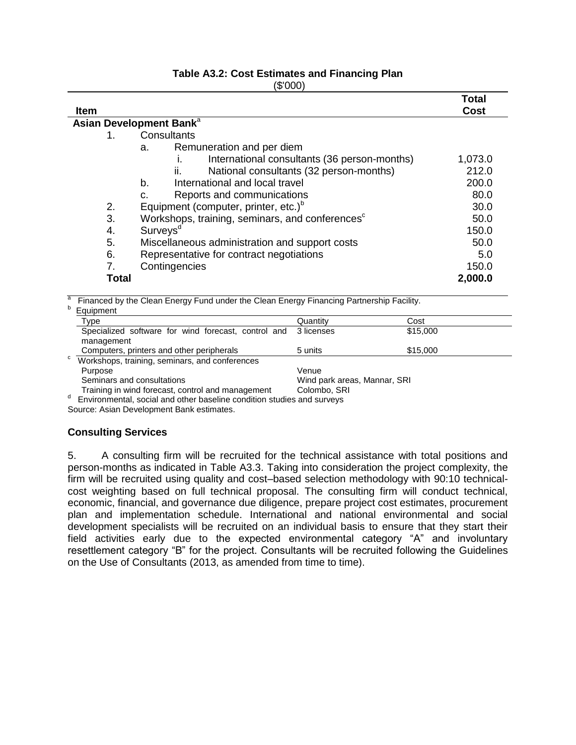#### **Table A3.2: Cost Estimates and Financing Plan**  $(0.00)$

| (DUUT       |                                                             |              |  |
|-------------|-------------------------------------------------------------|--------------|--|
|             |                                                             | <b>Total</b> |  |
| <b>Item</b> |                                                             | Cost         |  |
|             | Asian Development Bank <sup>a</sup>                         |              |  |
| 1.          | Consultants                                                 |              |  |
|             | Remuneration and per diem<br>a.                             |              |  |
|             | International consultants (36 person-months)<br>ı.          | 1,073.0      |  |
|             | National consultants (32 person-months)<br>ii.              | 212.0        |  |
|             | International and local travel<br>b.                        | 200.0        |  |
|             | Reports and communications<br>C.                            | 80.0         |  |
| 2.          | Equipment (computer, printer, etc.) <sup>b</sup>            | 30.0         |  |
| 3.          | Workshops, training, seminars, and conferences <sup>c</sup> | 50.0         |  |
| 4.          | Surveys <sup>d</sup>                                        | 150.0        |  |
| 5.          | Miscellaneous administration and support costs              | 50.0         |  |
| 6.          | Representative for contract negotiations                    | 5.0          |  |
| 7.          | Contingencies                                               | 150.0        |  |
|             | <b>Total</b>                                                | 2,000.0      |  |

a Financed by the Clean Energy Fund under the Clean Energy Financing Partnership Facility.

| b | Equipment                                                              |                              |          |
|---|------------------------------------------------------------------------|------------------------------|----------|
|   | Type                                                                   | Quantity                     | Cost     |
|   | Specialized software for wind forecast, control and                    | 3 licenses                   | \$15,000 |
|   | management                                                             |                              |          |
|   | Computers, printers and other peripherals                              | 5 units                      | \$15,000 |
| C | Workshops, training, seminars, and conferences                         |                              |          |
|   | Purpose                                                                | Venue                        |          |
|   | Seminars and consultations                                             | Wind park areas, Mannar, SRI |          |
|   | Training in wind forecast, control and management                      | Colombo, SRI                 |          |
| d | Environmental, social and other baseline condition studies and surveys |                              |          |

Source: Asian Development Bank estimates.

## **Consulting Services**

5. A consulting firm will be recruited for the technical assistance with total positions and person-months as indicated in Table A3.3. Taking into consideration the project complexity, the firm will be recruited using quality and cost–based selection methodology with 90:10 technicalcost weighting based on full technical proposal. The consulting firm will conduct technical, economic, financial, and governance due diligence, prepare project cost estimates, procurement plan and implementation schedule. International and national environmental and social development specialists will be recruited on an individual basis to ensure that they start their field activities early due to the expected environmental category "A" and involuntary resettlement category "B" for the project. Consultants will be recruited following the Guidelines on the Use of Consultants (2013, as amended from time to time).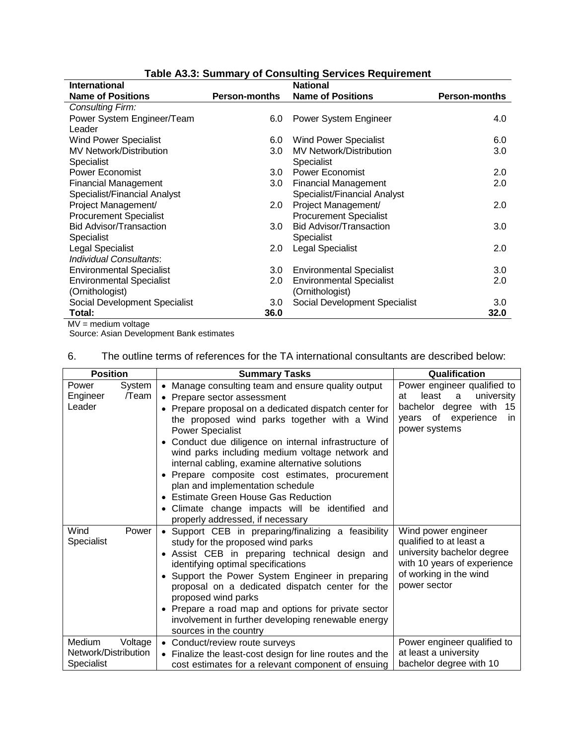| <b>International</b>            |                      | <b>National</b>                 |                      |
|---------------------------------|----------------------|---------------------------------|----------------------|
| <b>Name of Positions</b>        | <b>Person-months</b> | <b>Name of Positions</b>        | <b>Person-months</b> |
| <b>Consulting Firm:</b>         |                      |                                 |                      |
| Power System Engineer/Team      | 6.0                  | Power System Engineer           | 4.0                  |
| Leader                          |                      |                                 |                      |
| <b>Wind Power Specialist</b>    | 6.0                  | <b>Wind Power Specialist</b>    | 6.0                  |
| <b>MV Network/Distribution</b>  | 3.0                  | <b>MV Network/Distribution</b>  | 3.0                  |
| Specialist                      |                      | Specialist                      |                      |
| <b>Power Economist</b>          | 3.0                  | <b>Power Economist</b>          | 2.0                  |
| <b>Financial Management</b>     | 3.0                  | <b>Financial Management</b>     | 2.0                  |
| Specialist/Financial Analyst    |                      | Specialist/Financial Analyst    |                      |
| Project Management/             | 2.0                  | Project Management/             | 2.0                  |
| <b>Procurement Specialist</b>   |                      | <b>Procurement Specialist</b>   |                      |
| <b>Bid Advisor/Transaction</b>  | 3.0                  | <b>Bid Advisor/Transaction</b>  | 3.0                  |
| Specialist                      |                      | Specialist                      |                      |
| Legal Specialist                | 2.0                  | <b>Legal Specialist</b>         | 2.0                  |
| <b>Individual Consultants:</b>  |                      |                                 |                      |
| <b>Environmental Specialist</b> | 3.0 <sub>1</sub>     | <b>Environmental Specialist</b> | 3.0                  |
| <b>Environmental Specialist</b> | 2.0                  | <b>Environmental Specialist</b> | 2.0                  |
| (Ornithologist)                 |                      | (Ornithologist)                 |                      |
| Social Development Specialist   | 3.0                  | Social Development Specialist   | 3.0                  |
| Total:                          | 36.0                 |                                 | 32.0                 |

# **Table A3.3: Summary of Consulting Services Requirement**

MV = medium voltage Source: Asian Development Bank estimates

#### 6. The outline terms of references for the TA international consultants are described below:

| <b>Position</b>                                         | <b>Summary Tasks</b>                                                                                                                                                                                                                                                                                                                                                                                                                                                                                                                                                                                                     | Qualification                                                                                                                                          |
|---------------------------------------------------------|--------------------------------------------------------------------------------------------------------------------------------------------------------------------------------------------------------------------------------------------------------------------------------------------------------------------------------------------------------------------------------------------------------------------------------------------------------------------------------------------------------------------------------------------------------------------------------------------------------------------------|--------------------------------------------------------------------------------------------------------------------------------------------------------|
| System<br>Power<br>Engineer<br>/Team<br>Leader          | • Manage consulting team and ensure quality output<br>• Prepare sector assessment<br>• Prepare proposal on a dedicated dispatch center for<br>the proposed wind parks together with a Wind<br><b>Power Specialist</b><br>Conduct due diligence on internal infrastructure of<br>wind parks including medium voltage network and<br>internal cabling, examine alternative solutions<br>Prepare composite cost estimates, procurement<br>plan and implementation schedule<br><b>Estimate Green House Gas Reduction</b><br>$\bullet$<br>• Climate change impacts will be identified and<br>properly addressed, if necessary | Power engineer qualified to<br>least<br>a<br>university<br>at<br>with<br>bachelor degree<br>15<br>of experience<br>vears<br><i>in</i><br>power systems |
| Wind<br>Power<br>Specialist                             | • Support CEB in preparing/finalizing a feasibility<br>study for the proposed wind parks<br>· Assist CEB in preparing technical design and<br>identifying optimal specifications<br>Support the Power System Engineer in preparing<br>$\bullet$<br>proposal on a dedicated dispatch center for the<br>proposed wind parks<br>Prepare a road map and options for private sector<br>$\bullet$<br>involvement in further developing renewable energy<br>sources in the country                                                                                                                                              | Wind power engineer<br>qualified to at least a<br>university bachelor degree<br>with 10 years of experience<br>of working in the wind<br>power sector  |
| Medium<br>Voltage<br>Network/Distribution<br>Specialist | • Conduct/review route surveys<br>• Finalize the least-cost design for line routes and the<br>cost estimates for a relevant component of ensuing                                                                                                                                                                                                                                                                                                                                                                                                                                                                         | Power engineer qualified to<br>at least a university<br>bachelor degree with 10                                                                        |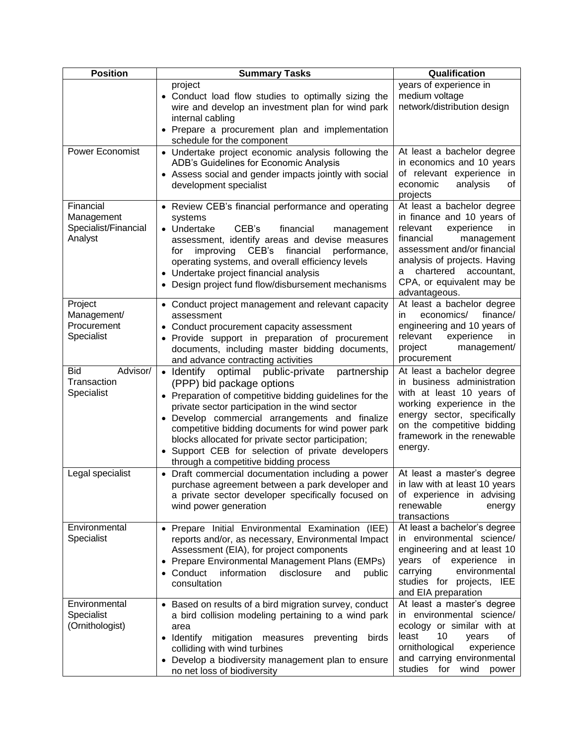| <b>Position</b>                                            | <b>Summary Tasks</b>                                                                                                                                                                                                                                                                                                                                                                                                                                             | Qualification                                                                                                                                                                                                                                                     |
|------------------------------------------------------------|------------------------------------------------------------------------------------------------------------------------------------------------------------------------------------------------------------------------------------------------------------------------------------------------------------------------------------------------------------------------------------------------------------------------------------------------------------------|-------------------------------------------------------------------------------------------------------------------------------------------------------------------------------------------------------------------------------------------------------------------|
|                                                            | project<br>Conduct load flow studies to optimally sizing the<br>$\bullet$<br>wire and develop an investment plan for wind park<br>internal cabling<br>Prepare a procurement plan and implementation<br>schedule for the component                                                                                                                                                                                                                                | years of experience in<br>medium voltage<br>network/distribution design                                                                                                                                                                                           |
| Power Economist                                            | Undertake project economic analysis following the<br>$\bullet$<br>ADB's Guidelines for Economic Analysis<br>Assess social and gender impacts jointly with social<br>development specialist                                                                                                                                                                                                                                                                       | At least a bachelor degree<br>in economics and 10 years<br>of relevant experience in<br>economic<br>analysis<br>οf<br>projects                                                                                                                                    |
| Financial<br>Management<br>Specialist/Financial<br>Analyst | Review CEB's financial performance and operating<br>$\bullet$<br>systems<br>• Undertake<br>CEB's<br>financial<br>management<br>assessment, identify areas and devise measures<br>financial<br>improving<br>CEB's<br>performance,<br>for<br>operating systems, and overall efficiency levels<br>• Undertake project financial analysis<br>Design project fund flow/disbursement mechanisms<br>$\bullet$                                                           | At least a bachelor degree<br>in finance and 10 years of<br>relevant<br>experience<br>in<br>financial<br>management<br>assessment and/or financial<br>analysis of projects. Having<br>chartered<br>accountant,<br>а<br>CPA, or equivalent may be<br>advantageous. |
| Project<br>Management/<br>Procurement<br>Specialist        | • Conduct project management and relevant capacity<br>assessment<br>Conduct procurement capacity assessment<br>Provide support in preparation of procurement<br>documents, including master bidding documents,<br>and advance contracting activities                                                                                                                                                                                                             | At least a bachelor degree<br>finance/<br>economics/<br>in.<br>engineering and 10 years of<br>relevant<br>experience<br>in.<br>project<br>management/<br>procurement                                                                                              |
| Advisor/<br><b>Bid</b><br>Transaction<br>Specialist        | • Identify optimal<br>public-private<br>partnership<br>(PPP) bid package options<br>Preparation of competitive bidding guidelines for the<br>$\bullet$<br>private sector participation in the wind sector<br>Develop commercial arrangements and finalize<br>competitive bidding documents for wind power park<br>blocks allocated for private sector participation;<br>Support CEB for selection of private developers<br>through a competitive bidding process | At least a bachelor degree<br>in business administration<br>with at least 10 years of<br>working experience in the<br>energy sector, specifically<br>on the competitive bidding<br>framework in the renewable<br>energy.                                          |
| Legal specialist                                           | Draft commercial documentation including a power<br>purchase agreement between a park developer and<br>a private sector developer specifically focused on<br>wind power generation                                                                                                                                                                                                                                                                               | At least a master's degree<br>in law with at least 10 years<br>of experience in advising<br>renewable<br>energy<br>transactions                                                                                                                                   |
| Environmental<br>Specialist                                | Prepare Initial Environmental Examination (IEE)<br>$\bullet$<br>reports and/or, as necessary, Environmental Impact<br>Assessment (EIA), for project components<br>Prepare Environmental Management Plans (EMPs)<br>٠<br>Conduct<br>information<br>disclosure<br>and<br>public<br>$\bullet$<br>consultation                                                                                                                                                       | At least a bachelor's degree<br>in environmental science/<br>engineering and at least 10<br>years of experience<br>ın<br>environmental<br>carrying<br>studies for projects, IEE<br>and EIA preparation                                                            |
| Environmental<br>Specialist<br>(Ornithologist)             | Based on results of a bird migration survey, conduct<br>$\bullet$<br>a bird collision modeling pertaining to a wind park<br>area<br>Identify<br>mitigation measures preventing<br>birds<br>colliding with wind turbines<br>Develop a biodiversity management plan to ensure<br>no net loss of biodiversity                                                                                                                                                       | At least a master's degree<br>in environmental science/<br>ecology or similar with at<br>least<br>10<br>οf<br>years<br>ornithological<br>experience<br>and carrying environmental<br>studies for<br>wind<br>power                                                 |